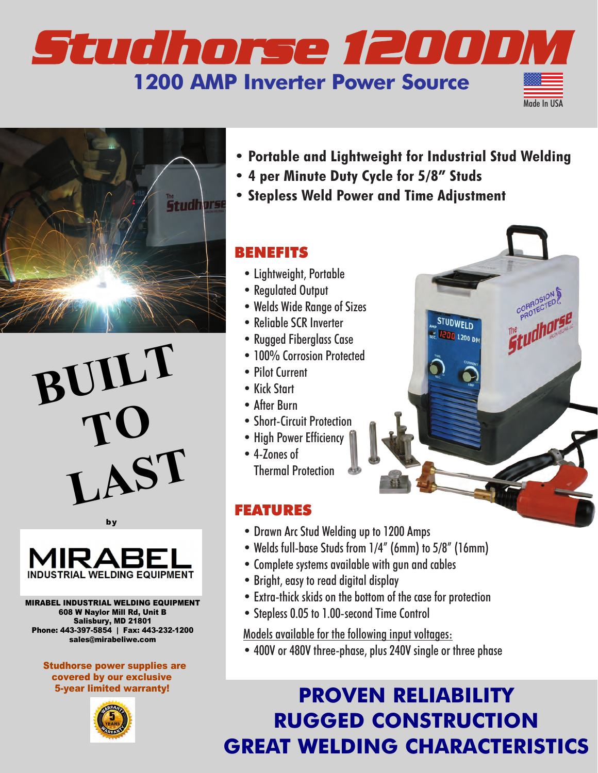## *Studhorse 1200 DM* **1200 AMP Inverter Power Source**



**BUILT TO LAST**



# **INDUSTRIAL WELDING EQUIPMENT**

MIRABEL INDUSTRIAL WELDING EQUIPMENT 608 W Naylor Mill Rd, Unit B Salisbury, MD 21801 Phone: 443-397-5854 | Fax: 443-232-1200 sales@mirabeliwe.com

Studhorse power supplies are covered by our exclusive 5-year limited warranty!



**• Portable and Lightweight for Industrial Stud Welding • Portable and Lightweight for Industrial Stud Welding**

**STUDWELD EDD** 1200 DM Made In USA

- **4 per Minute Duty Cycle for 5/8" Studs**
- **Stepless Weld Power and Time Adjustment Stepless Weld Power and Time Adjustment**

#### BENEFITS BENEFITS

- Lightweight, Portable Lightweight, Portable
- Regulated Output Regulated Output
- Welds Wide Range of Sizes Welds Wide Range of Sizes
- Reliable SCR Inverter Reliable SCR Inverter
- Rugged Fiberglass Case Rugged Fiberglass Case
- 100% Corrosion Protected 100% Corrosion Protected
- Pilot Current Pilot Current
- Kick Start Kick Start
- After Burn After Burn
- Short-Circuit Protection Short-Circuit Protection
- High Power Efficiency High Power Efficiency
- 4-Zones of Thermal Protection Thermal Protection

#### FEATURES FEATURES

- Drawn Arc Stud Welding up to 1200 Amps Drawn Arc Stud Welding up to 1200 Amps
- Welds full-base Studs from 1/4" (6mm) to 5/8" (16mm)
- Complete systems available with gun and cables Complete systems available with gun and cables
- Bright, easy to read digital display
- Extra-thick skids on the bottom of the case for protection
- Stepless 0.05 to 1.00-second Time Control

Models available for the following input voltages:

 $\frac{1}{2}$  and  $\frac{1}{2}$  and  $\frac{1}{2}$  three-phase input voltages;  $\frac{1}{2}$  and  $\frac{1}{2}$  and  $\frac{1}{2}$  fusing  $\frac{1}{2}$  fusing  $\frac{1}{2}$  fusing  $\frac{1}{2}$  fusing  $\frac{1}{2}$  function  $\frac{1}{2}$  function  $\frac{1}{2}$  function  $\$ • 400V or 480V three-phase, plus 240V single or three phase

### **PRovEN RELIABILITY RuGGED CoNSTRuCTIoN GREAT WELDING CHARACTERISTICS**